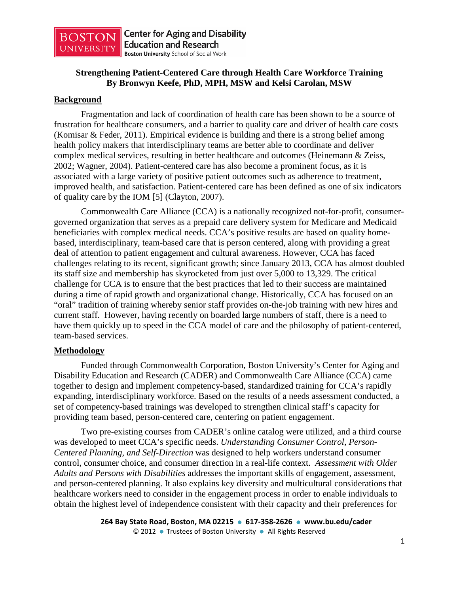

# **Strengthening Patient-Centered Care through Health Care Workforce Training By Bronwyn Keefe, PhD, MPH, MSW and Kelsi Carolan, MSW**

### **Background**

Fragmentation and lack of coordination of health care has been shown to be a source of frustration for healthcare consumers, and a barrier to quality care and driver of health care costs (Komisar & Feder, 2011). Empirical evidence is building and there is a strong belief among health policy makers that interdisciplinary teams are better able to coordinate and deliver complex medical services, resulting in better healthcare and outcomes (Heinemann & Zeiss, 2002; Wagner, 2004). Patient-centered care has also become a prominent focus, as it is associated with a large variety of positive patient outcomes such as adherence to treatment, improved health, and satisfaction. Patient-centered care has been defined as one of six indicators of quality care by the IOM [5] (Clayton, 2007).

Commonwealth Care Alliance (CCA) is a nationally recognized not-for-profit, consumergoverned organization that serves as a prepaid care delivery system for Medicare and Medicaid beneficiaries with complex medical needs. CCA's positive results are based on quality homebased, interdisciplinary, team-based care that is person centered, along with providing a great deal of attention to patient engagement and cultural awareness. However, CCA has faced challenges relating to its recent, significant growth; since January 2013, CCA has almost doubled its staff size and membership has skyrocketed from just over 5,000 to 13,329. The critical challenge for CCA is to ensure that the best practices that led to their success are maintained during a time of rapid growth and organizational change. Historically, CCA has focused on an "oral" tradition of training whereby senior staff provides on-the-job training with new hires and current staff. However, having recently on boarded large numbers of staff, there is a need to have them quickly up to speed in the CCA model of care and the philosophy of patient-centered, team-based services.

## **Methodology**

Funded through Commonwealth Corporation, Boston University's Center for Aging and Disability Education and Research (CADER) and Commonwealth Care Alliance (CCA) came together to design and implement competency-based, standardized training for CCA's rapidly expanding, interdisciplinary workforce. Based on the results of a needs assessment conducted, a set of competency-based trainings was developed to strengthen clinical staff's capacity for providing team based, person-centered care, centering on patient engagement.

Two pre-existing courses from CADER's online catalog were utilized, and a third course was developed to meet CCA's specific needs. *Understanding Consumer Control, Person-Centered Planning, and Self-Direction* was designed to help workers understand consumer control, consumer choice, and consumer direction in a real-life context. *Assessment with Older Adults and Persons with Disabilities* addresses the important skills of engagement, assessment, and person-centered planning. It also explains key diversity and multicultural considerations that healthcare workers need to consider in the engagement process in order to enable individuals to obtain the highest level of independence consistent with their capacity and their preferences for

```
264 Bay State Road, Boston, MA 02215  617-358-2626  www.bu.edu/cader
© 2012  Trustees of Boston University  All Rights Reserved
```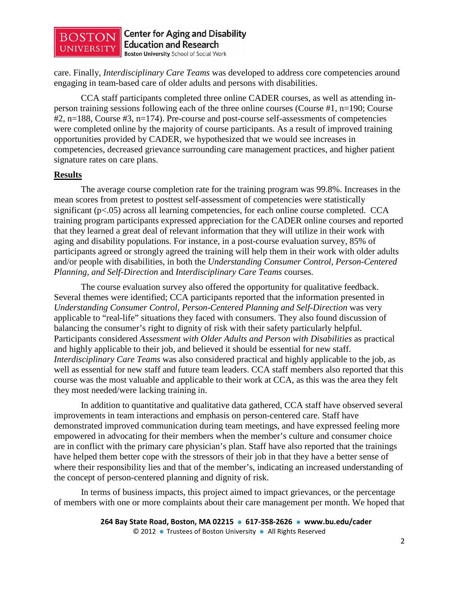

**Center for Aging and Disability Education and Research Boston University School of Social Work** 

care. Finally, *Interdisciplinary Care Teams* was developed to address core competencies around engaging in team-based care of older adults and persons with disabilities.

CCA staff participants completed three online CADER courses, as well as attending inperson training sessions following each of the three online courses (Course #1, n=190; Course #2, n=188, Course #3, n=174). Pre-course and post-course self-assessments of competencies were completed online by the majority of course participants. As a result of improved training opportunities provided by CADER, we hypothesized that we would see increases in competencies, decreased grievance surrounding care management practices, and higher patient signature rates on care plans.

#### **Results**

The average course completion rate for the training program was 99.8%. Increases in the mean scores from pretest to posttest self-assessment of competencies were statistically significant (p<.05) across all learning competencies, for each online course completed. CCA training program participants expressed appreciation for the CADER online courses and reported that they learned a great deal of relevant information that they will utilize in their work with aging and disability populations. For instance, in a post-course evaluation survey, 85% of participants agreed or strongly agreed the training will help them in their work with older adults and/or people with disabilities, in both the *Understanding Consumer Control, Person-Centered Planning, and Self-Direction* and *Interdisciplinary Care Teams* courses.

The course evaluation survey also offered the opportunity for qualitative feedback. Several themes were identified; CCA participants reported that the information presented in *Understanding Consumer Control, Person-Centered Planning and Self-Direction* was very applicable to "real-life" situations they faced with consumers. They also found discussion of balancing the consumer's right to dignity of risk with their safety particularly helpful. Participants considered *Assessment with Older Adults and Person with Disabilities* as practical and highly applicable to their job, and believed it should be essential for new staff. *Interdisciplinary Care Teams* was also considered practical and highly applicable to the job, as well as essential for new staff and future team leaders. CCA staff members also reported that this course was the most valuable and applicable to their work at CCA, as this was the area they felt they most needed/were lacking training in.

In addition to quantitative and qualitative data gathered, CCA staff have observed several improvements in team interactions and emphasis on person-centered care. Staff have demonstrated improved communication during team meetings, and have expressed feeling more empowered in advocating for their members when the member's culture and consumer choice are in conflict with the primary care physician's plan. Staff have also reported that the trainings have helped them better cope with the stressors of their job in that they have a better sense of where their responsibility lies and that of the member's, indicating an increased understanding of the concept of person-centered planning and dignity of risk.

In terms of business impacts, this project aimed to impact grievances, or the percentage of members with one or more complaints about their care management per month. We hoped that

```
264 Bay State Road, Boston, MA 02215  617-358-2626  www.bu.edu/cader
© 2012  Trustees of Boston University  All Rights Reserved
```